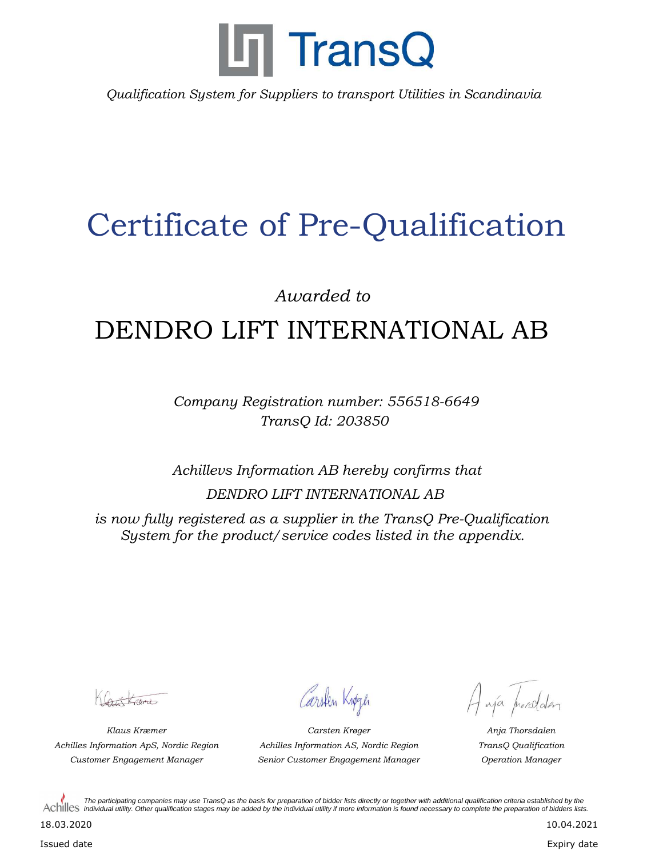

*Qualification System for Suppliers to transport Utilities in Scandinavia*

## Certificate of Pre-Qualification

*Awarded to*

## DENDRO LIFT INTERNATIONAL AB

*Company Registration number: 556518-6649 TransQ Id: 203850*

*Achillevs Information AB hereby confirms that DENDRO LIFT INTERNATIONAL AB*

*is now fully registered as a supplier in the TransQ Pre-Qualification System for the product/service codes listed in the appendix.*

Cartagne

Carsten Knøgen

*Klaus Kræmer Anja Thorsdalen Customer Engagement Manager Operation Manager Senior Customer Engagement Manager Achilles Information ApS, Nordic Region TransQ Qualification Carsten Krøger Achilles Information AS, Nordic Region*

Haja prosedden

*The participating companies may use TransQ as the basis for preparation of bidder lists directly or together with additional qualification criteria established by the*  Achilles *individual utility. Other qualification stages may be added by the individual utility if more information is found necessary to complete the preparation of bidders lists.* 

18.03.2020

Issued date